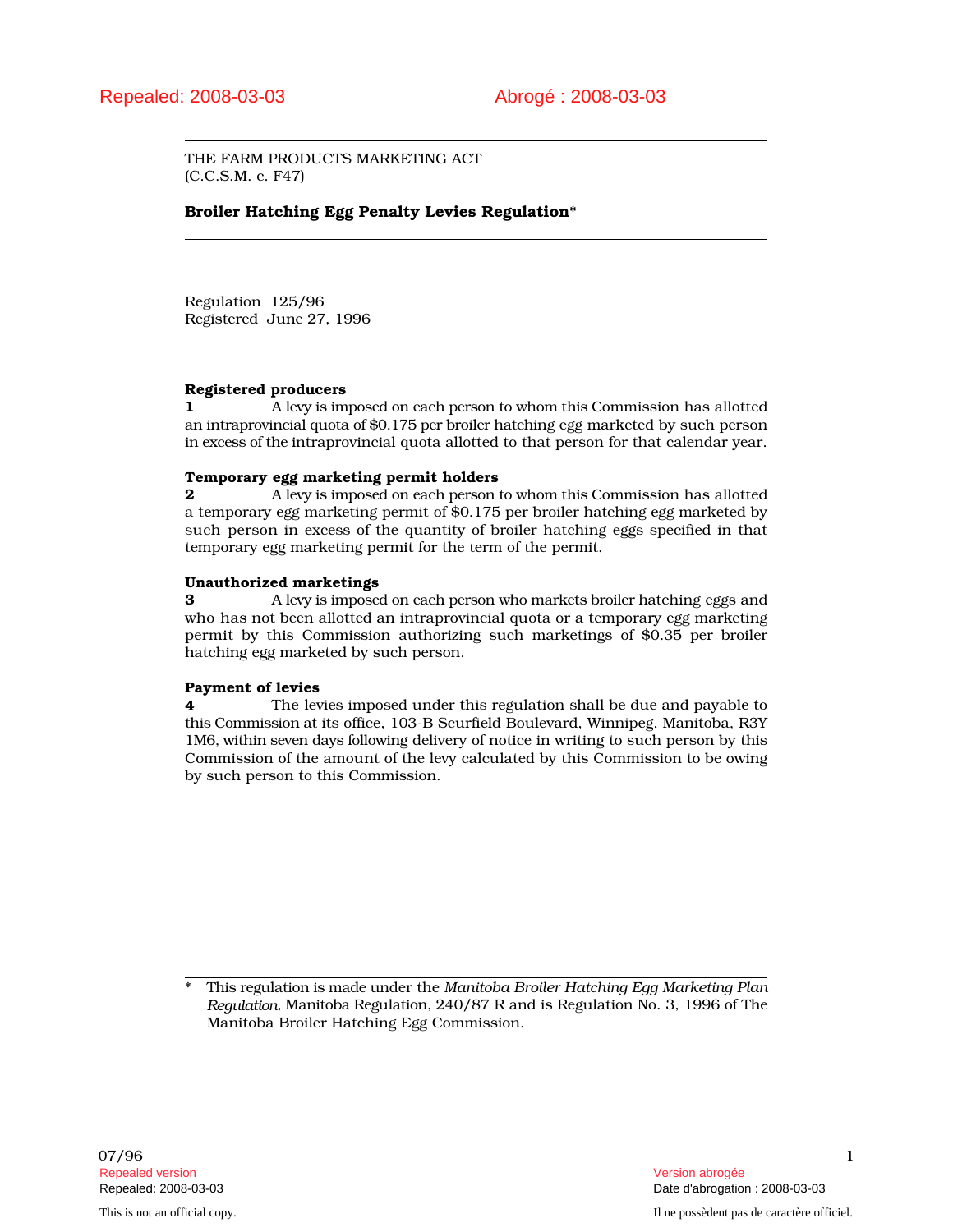THE FARM PRODUCTS MARKETING ACT (C.C.S.M. c. F47)

# Broiler Hatching Egg Penalty Levies Regulation\*

Regulation 125/96 Registered June 27, 1996

### Registered producers

1 A levy is imposed on each person to whom this Commission has allotted an intraprovincial quota of \$0.175 per broiler hatching egg marketed by such person in excess of the intraprovincial quota allotted to that person for that calendar year.

### Temporary egg marketing permit holders

2 **2** A levy is imposed on each person to whom this Commission has allotted a temporary egg marketing permit of \$0.175 per broiler hatching egg marketed by such person in excess of the quantity of broiler hatching eggs specified in that temporary egg marketing permit for the term of the permit.

### Unauthorized marketings

3 A levy is imposed on each person who markets broiler hatching eggs and who has not been allotted an intraprovincial quota or a temporary egg marketing permit by this Commission authorizing such marketings of \$0.35 per broiler hatching egg marketed by such person.

## Payment of levies

4 The levies imposed under this regulation shall be due and payable to this Commission at its office, 103-B Scurfield Boulevard, Winnipeg, Manitoba, R3Y 1M6, within seven days following delivery of notice in writing to such person by this Commission of the amount of the levy calculated by this Commission to be owing by such person to this Commission.

\* This regulation is made under the *Manitoba Broiler Hatching Egg Marketing Plan Regulation*, Manitoba Regulation, 240/87 R and is Regulation No. 3, 1996 of The Manitoba Broiler Hatching Egg Commission.